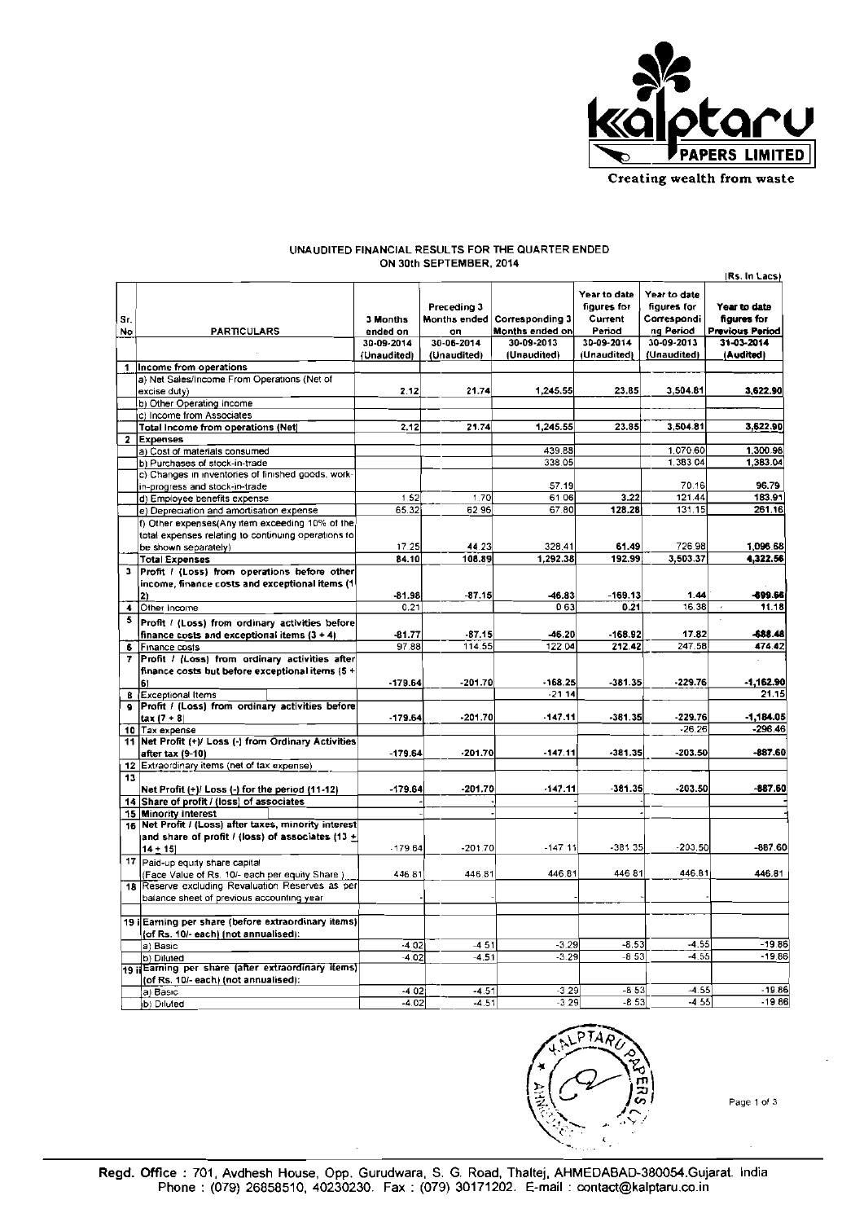

## **UNAUDITED FINANCIAL RESULTS FOR THE QUARTER ENDED**

|           |                                                                                                |                      |                                   |                                    |                                                  |                                                         | Rs. In Lacs)                                          |
|-----------|------------------------------------------------------------------------------------------------|----------------------|-----------------------------------|------------------------------------|--------------------------------------------------|---------------------------------------------------------|-------------------------------------------------------|
| Sr.<br>No | <b>PARTICULARS</b>                                                                             | 3 Months<br>ended on | Preceding 3<br>Months ended<br>on | Corresponding 3<br>Months ended on | Year to date<br>figures for<br>Current<br>Period | Year to date<br>figures for<br>Correspondi<br>ng Period | Year to date<br>figures for<br><b>Previous Period</b> |
|           |                                                                                                | 30-09-2014           | 30-06-2014                        | 30-09-2013                         | 30-09-2014                                       | 30-09-2013                                              | 31-03-2014                                            |
|           |                                                                                                | (Unaudited)          | (Unaudited)                       | (Unaudited)                        | (Unaudited)                                      | (Unaudited)                                             | (Audited)                                             |
| 1         | Income from operations                                                                         |                      |                                   |                                    |                                                  |                                                         |                                                       |
|           | a) Net Sales/Income From Operations (Net of<br>excise duty)                                    | 2.12                 | 21.74                             | 1.245.55                           | 23.85                                            | 3,504.81                                                | 3,622.90                                              |
|           | b) Other Operating Income                                                                      |                      |                                   |                                    |                                                  |                                                         |                                                       |
|           | c) Income from Associates<br>Total Income from operations (Net)                                | 2.12                 | 21.74                             | 1,245.55                           | 23.85                                            | 3,504.81                                                | 3,622.90                                              |
|           | Expenses                                                                                       |                      |                                   |                                    |                                                  |                                                         |                                                       |
|           | a) Cost of materials consumed                                                                  |                      |                                   | 439.88                             |                                                  | 1.070.60                                                | 1,300.98                                              |
|           | b) Purchases of stock-in-trade                                                                 |                      |                                   | 338.05                             |                                                  | 1,383.04                                                | 1,383.04                                              |
|           | c) Changes in inventories of finished goods, work-                                             |                      |                                   |                                    |                                                  |                                                         |                                                       |
|           | in-progress and stock-in-trade                                                                 |                      |                                   | 57.19                              |                                                  | 70.16                                                   | 96.79                                                 |
|           | d) Employee benefits expense                                                                   | 1.52                 | 1.70                              | 6106                               | 3.22                                             | 121.44                                                  | 183.91                                                |
|           | e) Depreciation and amortisation expense                                                       | 65.32                | 6296                              | 67.80                              | 128.28                                           | 131.15                                                  | 261.16                                                |
|           | f) Other expenses(Any item exceeding 10% of the                                                |                      |                                   |                                    |                                                  |                                                         |                                                       |
|           | total expenses relating to continuing operations to                                            |                      |                                   |                                    |                                                  |                                                         |                                                       |
|           | be shown separately)                                                                           | 17.25                | 44.23                             | 328.41                             | 61.49                                            | 726.98                                                  | 1.096.68                                              |
|           | <b>Total Expenses</b>                                                                          | 84.10                | 108.89                            | 1.292.38                           | 192.99                                           | 3.503.37                                                | 4.322.56                                              |
| э         | Profit / (Loss) from operations before other<br>income, finance costs and exceptional items (1 |                      |                                   |                                    |                                                  |                                                         |                                                       |
|           | 2)                                                                                             | $-81.98$             | $-87.15$                          | $-46.83$                           | $-169.13$                                        | 1.44                                                    | -899.66                                               |
| 4.        | Other Income                                                                                   | 0.21                 |                                   | 0.63                               | 0.21                                             | 16.38                                                   | 11.18                                                 |
| 5         | Profit / (Loss) from ordinary activities before                                                |                      |                                   |                                    |                                                  |                                                         |                                                       |
|           | finance costs and exceptional items (3 + 4)                                                    | $-81.77$             | $-87.15$                          | $-46.20$                           | $-168.92$                                        | 17.82                                                   | -688.48                                               |
|           | 6 Finance costs                                                                                | 97.88                | 114.55                            | 122.04                             | 212.42                                           | 247.58                                                  | 474.42                                                |
| 7.        | Profit / (Loss) from ordinary activities after                                                 |                      |                                   |                                    |                                                  |                                                         |                                                       |
|           | finance costs but before exceptional items (5 +                                                |                      |                                   |                                    |                                                  |                                                         |                                                       |
|           | 61                                                                                             | $-179.64$            | 201.70                            | 168.25                             | -381.35                                          | -229.76                                                 | $-1,162.90$                                           |
|           | 8 Exceptional Items                                                                            |                      |                                   | $-2114$                            |                                                  |                                                         | 21.15                                                 |
| $\bullet$ | Profit / (Loss) from ordinary activities before                                                |                      |                                   |                                    |                                                  |                                                         |                                                       |
|           | $tax (7 + 8)$                                                                                  | $-179.64$            | $-201.70$                         | $-147.11$                          | $-381.35$                                        | $-229.76$                                               | $-1.184.05$                                           |
|           | 10 Tax expense                                                                                 |                      |                                   |                                    |                                                  | $-26.26$                                                | $-296.46$                                             |
|           | 11 Net Profit (+)/ Loss (-) from Ordinary Activities                                           |                      |                                   |                                    |                                                  |                                                         |                                                       |
|           | after tax (9-10)                                                                               | $-179.64$            | $-201.70$                         | $-147.11$                          | $-381.35$                                        | $-203.50$                                               | $-887.60$                                             |
| 13        | 12 Extraordinary items (net of tax expense)                                                    |                      |                                   |                                    |                                                  |                                                         |                                                       |
|           | Net Profit (+)/ Loss (-) for the period (11-12)                                                | $-179.64$            | $-201.70$                         | 147.11                             | 381.35                                           | -203.50                                                 | 887.60                                                |
|           | 14 Share of profit / (loss) of associates                                                      |                      |                                   |                                    |                                                  |                                                         |                                                       |
|           | 15 Minority interest                                                                           |                      |                                   |                                    |                                                  |                                                         |                                                       |
|           | 16 Net Profit / (Loss) after taxes, minority interest                                          |                      |                                   |                                    |                                                  |                                                         |                                                       |
|           | and share of profit / (loss) of associates $(13 +$                                             |                      |                                   |                                    |                                                  |                                                         |                                                       |
|           | $14 + 15$                                                                                      | $-179.64$            | $-201.70$                         | $-147.11$                          | -381 35                                          | $-203.50$                                               | -887.60                                               |
|           | 17 Paid-up equity share capital                                                                |                      |                                   |                                    |                                                  |                                                         |                                                       |
|           | (Face Value of Rs. 10/- each per equity Share)                                                 | 446.81               | 446.81                            | 446.81                             | 446 81                                           | 446.81                                                  | 446.81                                                |
|           | 18 Reserve excluding Revaluation Reserves as per                                               |                      |                                   |                                    |                                                  |                                                         |                                                       |
|           | balance sheet of previous accounting year                                                      |                      |                                   |                                    |                                                  |                                                         |                                                       |
|           | 19 i Earning per share (before extraordinary items)                                            |                      |                                   |                                    |                                                  |                                                         |                                                       |
|           | (of Rs. 10/- each) (not annualised):                                                           |                      |                                   |                                    |                                                  |                                                         |                                                       |
|           | a) Basic                                                                                       | $-4.02$              | $-451$                            | $-3.29$                            | $-8.53$                                          | $-4.55$                                                 | $-19.86$                                              |
|           | b) Diluted                                                                                     | $-4.02$              | $-4.51$                           | $-3.29$                            | $-8,53$                                          | $-4.55$                                                 | $-19.86$                                              |
|           | 19 i Earning per share (after extraordinary items)                                             |                      |                                   |                                    |                                                  |                                                         |                                                       |
|           | (of Rs. 10/- each) (not annualised):<br>a) Basic                                               | $-402$               | $-4.51$                           | $-3.29$                            | $-8, 53$                                         | $-4.55$                                                 | $-19.86$                                              |
|           | b) Diluted                                                                                     | $-4.02$              | $-4.51$                           | $-3.29$                            | $-8,53$                                          | $-4.55$                                                 | $-19.86$                                              |
|           |                                                                                                |                      |                                   |                                    |                                                  |                                                         |                                                       |





**Page** 1 **013**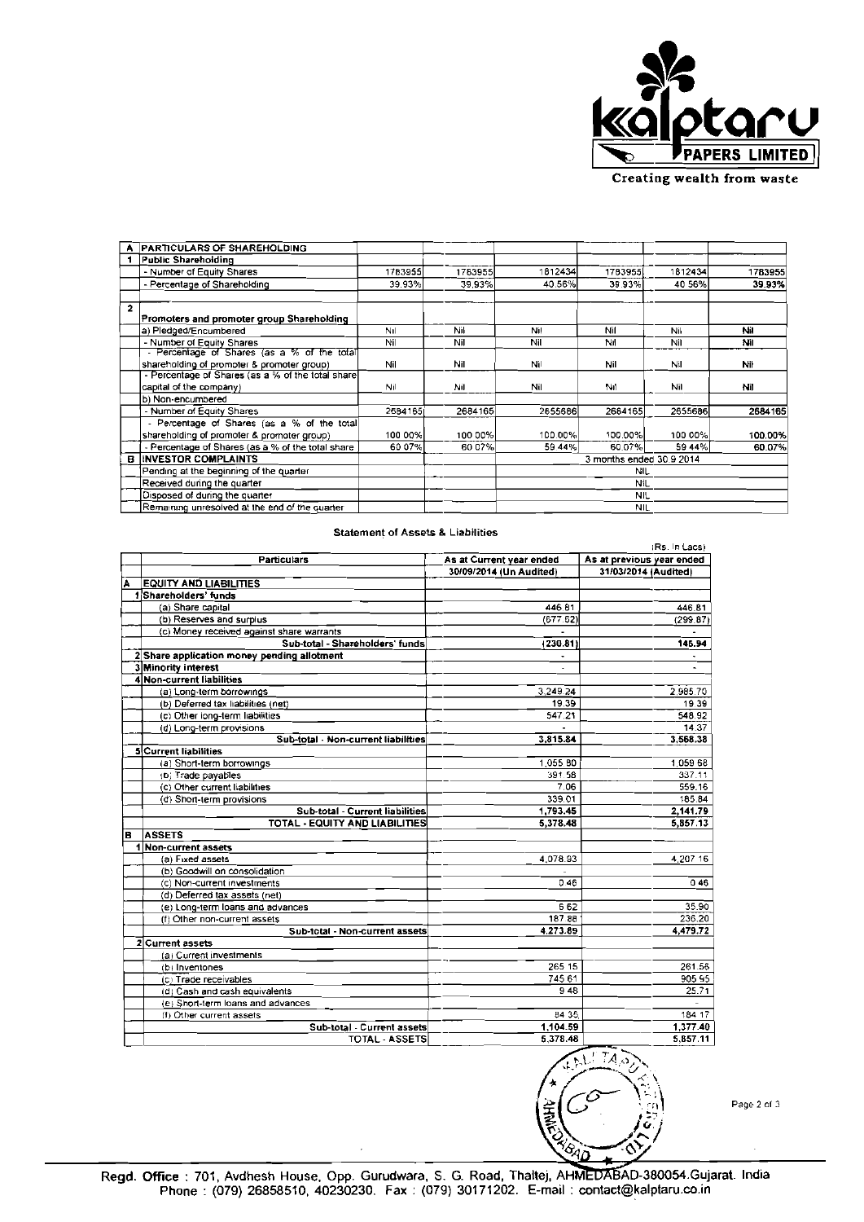

| Creating wealth from waste |
|----------------------------|
|----------------------------|

|              | <b>PARTICULARS OF SHAREHOLDING</b>                |         |         |                          |            |         |         |
|--------------|---------------------------------------------------|---------|---------|--------------------------|------------|---------|---------|
|              | Public Sharehoiding                               |         |         |                          |            |         |         |
|              | - Number of Equity Shares                         | 1783955 | 1783955 | 1812434                  | 1783955    | 1812434 | 1783955 |
|              | - Percentage of Shareholding                      | 39.93%  | 39.93%  | 40.56%l                  | 39.93%     | 40 56%  | 39.93%  |
| $\mathbf{2}$ |                                                   |         |         |                          |            |         |         |
|              | Promoters and promoter group Shareholding         |         |         |                          |            |         |         |
|              | a) Pledged/Encumbered                             | Nıl     | Nil     | Nil                      | Nil        | Nil     | ΝiΙ     |
|              | - Number of Equity Shares                         | Nil     | Nil     | Nil                      | Nıl        | Nil     | Nil     |
|              | - Percentage of Shares (as a % of the total)      |         |         |                          |            |         |         |
|              | shareholding of promoter & promoter group)        | Nil     | Nil     | Nil                      | Nil        | Nil     | Nil     |
|              | - Percentage of Shares (as a % of the total share |         |         |                          |            |         |         |
|              | capital of the company)                           | Nil     | Nil     | Nil                      | Nıl        | Nil     | Nil     |
|              | b) Non-encumbered                                 |         |         |                          |            |         |         |
|              | - Number of Equity Shares                         | 2584165 | 2684165 | 2655686                  | 2684165    | 2655686 | 2684165 |
|              | - Percentage of Shares (as a % of the total       |         |         |                          |            |         |         |
|              | shareholding of promoter & promoter group)        | 100 00% | 100 00% | 100.00%                  | 100.00%    | 100 00% | 100.00% |
|              | - Percentage of Shares (as a % of the total share | 60 07%  | 60 07%  | 59.44%                   | 60.07%     | 59 44%  | 60.07%  |
| в            | INVESTOR COMPLAINTS                               |         |         | 3 months ended 30.9 2014 |            |         |         |
|              | Pending at the beginning of the quarter           |         |         | NIL                      |            |         |         |
|              | Received during the quarter                       |         |         | Nil                      |            |         |         |
|              | Disposed of during the quarter                    |         |         |                          | <b>NIL</b> |         |         |
|              | Remaining unresolved at the end of the quarter    |         |         |                          | <b>NIL</b> |         |         |

|   | (Rs. In Lacs)                               |                          |                           |  |  |  |
|---|---------------------------------------------|--------------------------|---------------------------|--|--|--|
|   | <b>Particulars</b>                          | As at Current year ended | As at previous year ended |  |  |  |
|   |                                             | 30/09/2014 (Un Audited)  | 31/03/2014 (Audited)      |  |  |  |
| Թ | <b>EQUITY AND LIABILITIES</b>               |                          |                           |  |  |  |
|   | 1Shareholders' funds                        |                          |                           |  |  |  |
|   | (a) Share capital                           | 446.81                   | 446.81                    |  |  |  |
|   | (b) Reserves and surplus                    | (677.62)                 | (299.87)                  |  |  |  |
|   | (c) Money received against share warrants   |                          |                           |  |  |  |
|   | Sub-total - Shareholders' funds             | (230.81)                 | 145.94                    |  |  |  |
|   | 2 Share application money pending allotment |                          |                           |  |  |  |
|   | 3 Minority interest                         |                          |                           |  |  |  |
|   | 4 Non-current liabilities                   |                          |                           |  |  |  |
|   | (a) Long-term borrowings                    | 3,249.24                 | 2,985.70                  |  |  |  |
|   | (b) Deferred tax liabilities (net)          | 19.39                    | 19.39                     |  |  |  |
|   | (c) Other long-term liabilities             | 547.21                   | 548.92                    |  |  |  |
|   | (d) Long-term provisions                    |                          | 14 37                     |  |  |  |
|   | Sub-total - Non-current liabilities         | 3.815.84                 | 3,568.38                  |  |  |  |
|   | 5 Current liabilities                       |                          |                           |  |  |  |
|   | (a) Short-term borrowings                   | 1.055.80                 | 1,059.68                  |  |  |  |
|   | (b) Trade payables                          | 391.58                   | 337.11                    |  |  |  |
|   | (c) Other current liabilities               | 7.06                     | 559.16                    |  |  |  |
|   | (d) Short-term provisions                   | 339.01                   | 185.84                    |  |  |  |
|   | Sub-total - Current liabilities             | 1.793.45                 | 2,141.79                  |  |  |  |
|   | <b>TOTAL - EQUITY AND LIABILITIES</b>       | 5.378.48                 | 5,857.13                  |  |  |  |
| в | <b>ASSETS</b>                               |                          |                           |  |  |  |
|   | Non-current assets                          |                          |                           |  |  |  |
|   | (a) Fixed assets                            | 4.078.93                 | 4 207 16                  |  |  |  |
|   | (b) Goodwill on consolidation               |                          |                           |  |  |  |
|   | (c) Non-current investments                 | 0.46                     | 046                       |  |  |  |
|   | (d) Deferred tax assets (net)               |                          |                           |  |  |  |
|   | (e) Long-term loans and advances            | 6.62                     | 35.90                     |  |  |  |
|   | (f) Other non-current assets                | 187.88                   | 236.20                    |  |  |  |
|   | Sub-total - Non-current assets              | 4.273.89                 | 4.479.72                  |  |  |  |
|   | 2 Current assets                            |                          |                           |  |  |  |
|   | (a) Current investments                     |                          |                           |  |  |  |
|   | (b) Inventones                              | 265 15                   | 261.56                    |  |  |  |
|   | (c) Trade receivables                       | 745 61                   | 905 95                    |  |  |  |
|   | (d) Cash and cash equivalents               | 948                      | 25.71                     |  |  |  |
|   | (e) Short-term loans and advances           |                          |                           |  |  |  |
|   | (f) Other current assets                    | 84 35.                   | 184 17                    |  |  |  |
|   | Sub-total - Current assets                  | 1.104.59                 | 1.377.40                  |  |  |  |
|   | <b>TOTAL - ASSETS</b>                       | 5.378.48                 | 5.857.11                  |  |  |  |

## **Statement of Assets & Liabilities**

 $IA_{\mathcal{A}}$ ⁄ବ<sub>4Ω</sub>

Page 2 of 3